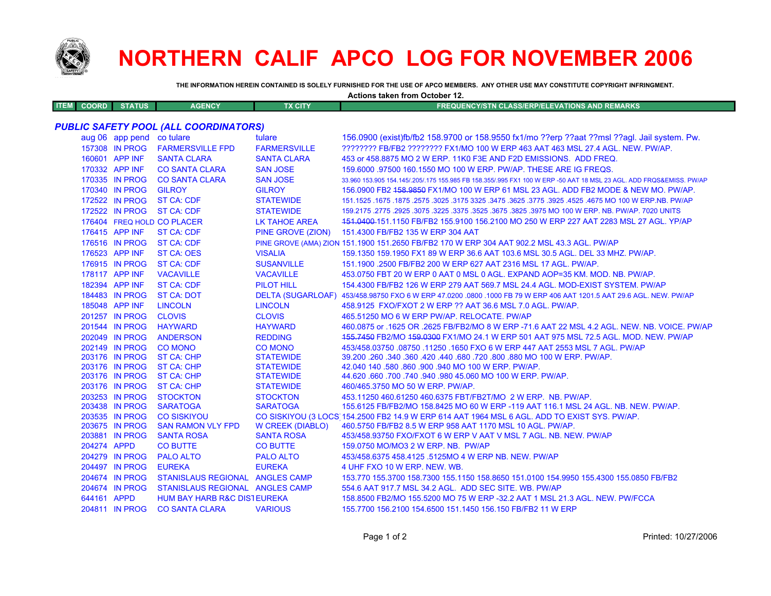

## **NORTHERN CALIF APCO LOG FOR NOVEMBER 2006**

**Actions taken from October 12.**

**THE INFORMATION HEREIN CONTAINED IS SOLELY FURNISHED FOR THE USE OF APCO MEMBERS. ANY OTHER USE MAY CONSTITUTE COPYRIGHT INFRINGMENT.**

| <b>ITEM</b> | <b>COORD</b>                                 | <b>STATUS</b>                    | <b>AGENCY</b>                          | <b>TX CITY</b>                       | <b>FREQUENCY/STN CLASS/ERP/ELEVATIONS AND REMARKS</b>                                                                           |
|-------------|----------------------------------------------|----------------------------------|----------------------------------------|--------------------------------------|---------------------------------------------------------------------------------------------------------------------------------|
|             | <b>PUBLIC SAFETY POOL (ALL COORDINATORS)</b> |                                  |                                        |                                      |                                                                                                                                 |
|             |                                              | aug 06 app pend co tulare        |                                        | tulare                               | 156,0900 (exist)fb/fb2 158,9700 or 158,9550 fx1/mo ??erp ??aat ??msl ??aql. Jail system. Pw.                                    |
|             |                                              | 157308 IN PROG                   | <b>FARMERSVILLE FPD</b>                | <b>FARMERSVILLE</b>                  | ???????? FB/FB2 ???????? FX1/MO 100 W ERP 463 AAT 463 MSL 27.4 AGL. NEW. PW/AP.                                                 |
|             |                                              | 160601 APP INF                   | <b>SANTA CLARA</b>                     | <b>SANTA CLARA</b>                   | 453 or 458,8875 MO 2 W ERP, 11K0 F3E AND F2D EMISSIONS. ADD FREQ.                                                               |
|             |                                              | 170332 APP INF                   | <b>CO SANTA CLARA</b>                  | <b>SAN JOSE</b>                      | 159,6000 .97500 160.1550 MO 100 W ERP. PW/AP. THESE ARE IG FREQS.                                                               |
|             |                                              | 170335 IN PROG                   | <b>CO SANTA CLARA</b>                  | <b>SAN JOSE</b>                      | 33.960 153.905 154.145/.205/.175 155.985 FB 158.355/.995 FX1 100 W ERP -50 AAT 18 MSL 23 AGL. ADD FRQS&EMISS. PW/AP             |
|             |                                              | 170340 IN PROG                   | <b>GILROY</b>                          | <b>GILROY</b>                        | 156.0900 FB2 458.9859 FX1/MO 100 W ERP 61 MSL 23 AGL. ADD FB2 MODE & NEW MO. PW/AP.                                             |
|             |                                              | 172522 IN PROG                   | <b>ST CA: CDF</b>                      | <b>STATEWIDE</b>                     | 151.1525 .1675 NO 100 W ERP.NB. PW/AP 325. 3775 .3625 .3475 .3625 .3775 .3625 .3625 .1675 .1675 .1675 .1675 .                   |
|             |                                              | 172522 IN PROG                   | <b>ST CA: CDF</b>                      | <b>STATEWIDE</b>                     | 159,2175,2775,2925,3075,3225,3375,3525,3675,3825,3975 MO 100 W ERP, NB, PW/AP, 7020 UNITS                                       |
|             |                                              |                                  | 176404 FREQ HOLD CO PLACER             | <b>LK TAHOE AREA</b>                 | 151.0400-151.1150 FB/FB2 155.9100 156.2100 MO 250 W ERP 227 AAT 2283 MSL 27 AGL. YP/AP                                          |
|             |                                              | 176415 APP INF                   | <b>ST CA: CDF</b>                      | PINE GROVE (ZION)                    | 151.4300 FB/FB2 135 W ERP 304 AAT                                                                                               |
|             |                                              | 176516 IN PROG                   | <b>ST CA: CDF</b>                      |                                      | PINE GROVE (AMA) ZION 151.1900 151.2650 FB/FB2 170 W ERP 304 AAT 902.2 MSL 43.3 AGL. PW/AP                                      |
|             |                                              | 176523 APP INF                   | <b>ST CA: OES</b>                      | <b>VISALIA</b>                       | 159.1350 159.1950 FX1 89 W ERP 36.6 AAT 103.6 MSL 30.5 AGL. DEL 33 MHZ. PW/AP.                                                  |
|             |                                              | 176915 IN PROG                   | <b>ST CA: CDF</b>                      | <b>SUSANVILLE</b>                    | 151.1900 .2500 FB/FB2 200 W ERP 627 AAT 2316 MSL 17 AGL, PW/AP.                                                                 |
|             |                                              |                                  |                                        |                                      |                                                                                                                                 |
|             |                                              | 178117 APP INF                   | <b>VACAVILLE</b>                       | <b>VACAVILLE</b>                     | 453.0750 FBT 20 W ERP 0 AAT 0 MSL 0 AGL. EXPAND AOP=35 KM, MOD, NB, PW/AP,                                                      |
|             |                                              | 182394 APP INF                   | <b>ST CA: CDF</b>                      | <b>PILOT HILL</b>                    | 154.4300 FB/FB2 126 W ERP 279 AAT 569.7 MSL 24.4 AGL. MOD-EXIST SYSTEM. PW/AP                                                   |
|             |                                              | 184483 IN PROG                   | <b>ST CA: DOT</b>                      |                                      | DELTA (SUGARLOAF) 453/458.98750 FXO 6 W ERP 47.0200 .0800 .1000 FB 79 W ERP 406 AAT 1201.5 AAT 29.6 AGL. NEW. PW/AP             |
|             |                                              | 185048 APP INF                   | <b>LINCOLN</b>                         | <b>LINCOLN</b>                       | 458.9125 FXO/FXOT 2 W ERP ?? AAT 36.6 MSL 7.0 AGL, PW/AP.                                                                       |
|             |                                              | 201257 IN PROG                   | <b>CLOVIS</b>                          | <b>CLOVIS</b>                        | 465.51250 MO 6 W ERP PW/AP. RELOCATE. PW/AP                                                                                     |
|             |                                              | 201544 IN PROG                   | <b>HAYWARD</b>                         | <b>HAYWARD</b>                       | 460.0875 or .1625 OR .2625 FB/FB2/MO 8 W ERP -71.6 AAT 22 MSL 4.2 AGL. NEW. NB. VOICE. PW/AP                                    |
|             |                                              | 202049 IN PROG                   | <b>ANDERSON</b>                        | <b>REDDING</b>                       | 155.7450 FB2/MO 159.0300 FX1/MO 24.1 W ERP 501 AAT 975 MSL 72.5 AGL. MOD. NEW. PW/AP                                            |
|             |                                              | 202149 IN PROG                   | <b>CO MONO</b>                         | <b>CO MONO</b>                       | 453/458.03750 .08750 .11250 .1650 FXO 6 W ERP 447 AAT 2553 MSL 7 AGL, PW/AP                                                     |
|             |                                              | 203176 IN PROG<br>203176 IN PROG | <b>ST CA: CHP</b><br><b>ST CA: CHP</b> | <b>STATEWIDE</b>                     | 39.200 .260 .340 .360 .420 .440 .680 .720 .800 .880 MO 100 W ERP. PW/AP.<br>42.040 140 .580 .860 .900 .940 MO 100 W ERP. PW/AP. |
|             |                                              | 203176 IN PROG                   | ST CA: CHP                             | <b>STATEWIDE</b><br><b>STATEWIDE</b> | 44.620 660 700 740 940 980 45.060 MO 100 W ERP. PW/AP.                                                                          |
|             |                                              | 203176 IN PROG                   | <b>ST CA: CHP</b>                      | <b>STATEWIDE</b>                     | 460/465.3750 MO 50 W ERP. PW/AP.                                                                                                |
|             |                                              | 203253 IN PROG                   | <b>STOCKTON</b>                        | <b>STOCKTON</b>                      | 453.11250 460.61250 460.6375 FBT/FB2T/MO 2 W ERP. NB. PW/AP.                                                                    |
|             |                                              | 203438 IN PROG                   | <b>SARATOGA</b>                        | <b>SARATOGA</b>                      | 155.6125 FB/FB2/MO 158.8425 MO 60 W ERP -119 AAT 116.1 MSL 24 AGL. NB. NEW. PW/AP.                                              |
|             |                                              | 203535 IN PROG                   | <b>CO SISKIYOU</b>                     |                                      | CO SISKIYOU (3 LOCS 154.2500 FB2 14.9 W ERP 614 AAT 1964 MSL 6 AGL. ADD TO EXIST SYS. PW/AP.                                    |
|             |                                              | 203675 IN PROG                   | <b>SAN RAMON VLY FPD</b>               | <b>W CREEK (DIABLO)</b>              | 460.5750 FB/FB2 8.5 W ERP 958 AAT 1170 MSL 10 AGL, PW/AP.                                                                       |
|             |                                              | 203881 IN PROG                   | <b>SANTA ROSA</b>                      | <b>SANTA ROSA</b>                    | 453/458.93750 FXO/FXOT 6 W ERP V AAT V MSL 7 AGL. NB. NEW. PW/AP                                                                |
|             | 204274 APPD                                  |                                  | <b>CO BUTTE</b>                        | <b>CO BUTTE</b>                      | 159.0750 MO/MO3 2 W ERP. NB. PW/AP                                                                                              |
|             |                                              | 204279 IN PROG                   | <b>PALO ALTO</b>                       | <b>PALO ALTO</b>                     | 453/458.6375 458.4125 .5125MO 4 W ERP NB, NEW, PW/AP                                                                            |
|             |                                              | 204497 IN PROG                   | <b>EUREKA</b>                          | <b>EUREKA</b>                        | 4 UHF FXO 10 W ERP. NEW. WB.                                                                                                    |
|             |                                              | 204674 IN PROG                   | STANISLAUS REGIONAL ANGLES CAMP        |                                      | 153.770 155.3700 158.7300 155.1150 158.8650 151.0100 154.9950 155.4300 155.0850 FB/FB2                                          |
|             |                                              | 204674 IN PROG                   | STANISLAUS REGIONAL ANGLES CAMP        |                                      | 554.6 AAT 917.7 MSL 34.2 AGL. ADD SEC SITE. WB. PW/AP                                                                           |
|             | 644161 APPD                                  |                                  | <b>HUM BAY HARB R&amp;C DISTEUREKA</b> |                                      | 158,8500 FB2/MO 155,5200 MO 75 W ERP -32.2 AAT 1 MSL 21.3 AGL, NEW, PW/FCCA                                                     |
|             |                                              |                                  | 204811 IN PROG CO SANTA CLARA          | <b>VARIOUS</b>                       | 155.7700 156.2100 154.6500 151.1450 156.150 FB/FB2 11 W ERP                                                                     |